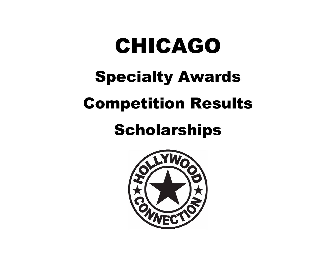# CHICAGO Specialty Awards Competition Results

# **Scholarships**

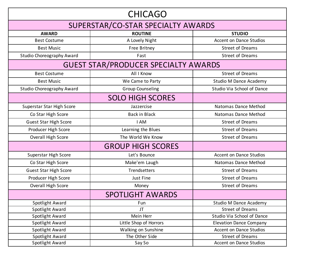| <b>CHICAGO</b>                     |                                             |                                |  |  |  |  |  |  |  |
|------------------------------------|---------------------------------------------|--------------------------------|--|--|--|--|--|--|--|
| SUPERSTAR/CO-STAR SPECIALTY AWARDS |                                             |                                |  |  |  |  |  |  |  |
| <b>AWARD</b>                       | <b>ROUTINE</b>                              | <b>STUDIO</b>                  |  |  |  |  |  |  |  |
| <b>Best Costume</b>                | A Lovely Night                              | <b>Accent on Dance Studios</b> |  |  |  |  |  |  |  |
| <b>Best Music</b>                  | Free Britney                                | <b>Street of Dreams</b>        |  |  |  |  |  |  |  |
| <b>Studio Choreography Award</b>   | Fast                                        | <b>Street of Dreams</b>        |  |  |  |  |  |  |  |
|                                    | <b>GUEST STAR/PRODUCER SPECIALTY AWARDS</b> |                                |  |  |  |  |  |  |  |
| <b>Best Costume</b>                | All I Know                                  | <b>Street of Dreams</b>        |  |  |  |  |  |  |  |
| <b>Best Music</b>                  | We Came to Party                            | <b>Studio M Dance Academy</b>  |  |  |  |  |  |  |  |
| Studio Choreography Award          | <b>Group Counseling</b>                     | Studio Via School of Dance     |  |  |  |  |  |  |  |
|                                    | <b>SOLO HIGH SCORES</b>                     |                                |  |  |  |  |  |  |  |
| Superstar Star High Score          | Jazzercise                                  | Natomas Dance Method           |  |  |  |  |  |  |  |
| Co Star High Score                 | <b>Back in Black</b>                        | Natomas Dance Method           |  |  |  |  |  |  |  |
| <b>Guest Star High Score</b>       | I AM                                        | <b>Street of Dreams</b>        |  |  |  |  |  |  |  |
| Producer High Score                | Learning the Blues                          | <b>Street of Dreams</b>        |  |  |  |  |  |  |  |
| Overall High Score                 | The World We Know                           | <b>Street of Dreams</b>        |  |  |  |  |  |  |  |
|                                    | <b>GROUP HIGH SCORES</b>                    |                                |  |  |  |  |  |  |  |
| Superstar High Score               | Let's Bounce                                | <b>Accent on Dance Studios</b> |  |  |  |  |  |  |  |
| Co Star High Score                 | Make'em Laugh                               | Natomas Dance Method           |  |  |  |  |  |  |  |
| Guest Star High Score              | Trendsetters                                | <b>Street of Dreams</b>        |  |  |  |  |  |  |  |
| Producer High Score                | Just Fine                                   | <b>Street of Dreams</b>        |  |  |  |  |  |  |  |
| Overall High Score                 | Money                                       | <b>Street of Dreams</b>        |  |  |  |  |  |  |  |
|                                    | <b>SPOTLIGHT AWARDS</b>                     |                                |  |  |  |  |  |  |  |
| Spotlight Award                    | Fun                                         | <b>Studio M Dance Academy</b>  |  |  |  |  |  |  |  |
| Spotlight Award                    | JT                                          | <b>Street of Dreams</b>        |  |  |  |  |  |  |  |
| Spotlight Award                    | Mein Herr                                   | Studio Via School of Dance     |  |  |  |  |  |  |  |
| Spotlight Award                    | Little Shop of Horrors                      | <b>Elevation Dance Company</b> |  |  |  |  |  |  |  |
| Spotlight Award                    | Walking on Sunshine                         | <b>Accent on Dance Studios</b> |  |  |  |  |  |  |  |
| Spotlight Award                    | The Other Side                              | <b>Street of Dreams</b>        |  |  |  |  |  |  |  |
| Spotlight Award                    | Say So                                      | <b>Accent on Dance Studios</b> |  |  |  |  |  |  |  |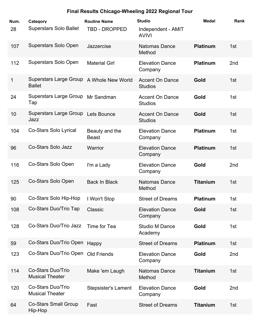| Num. | Category                                       | <b>Routine Name</b>            | <b>Studio</b>                            | <b>Medal</b>    | Rank |
|------|------------------------------------------------|--------------------------------|------------------------------------------|-----------------|------|
| 28   | <b>Superstars Solo Ballet</b>                  | TBD - DROPPED                  | Independent - AMIT<br><b>AVIVI</b>       |                 |      |
| 107  | <b>Superstars Solo Open</b>                    | Jazzercise                     | <b>Natomas Dance</b><br>Method           | <b>Platinum</b> | 1st  |
| 112  | Superstars Solo Open                           | <b>Material Girl</b>           | <b>Elevation Dance</b><br>Company        | <b>Platinum</b> | 2nd  |
| 1    | <b>Superstars Large Group</b><br><b>Ballet</b> | A Whole New World              | <b>Accent On Dance</b><br><b>Studios</b> | Gold            | 1st  |
| 24   | <b>Superstars Large Group</b><br>Tap           | Mr Sandman                     | <b>Accent On Dance</b><br><b>Studios</b> | Gold            | 1st  |
| 10   | <b>Superstars Large Group</b><br>Jazz          | Lets Bounce                    | <b>Accent On Dance</b><br><b>Studios</b> | Gold            | 1st  |
| 104  | <b>Co-Stars Solo Lyrical</b>                   | Beauty and the<br><b>Beast</b> | <b>Elevation Dance</b><br>Company        | <b>Platinum</b> | 1st  |
| 96   | <b>Co-Stars Solo Jazz</b>                      | Warrior                        | <b>Elevation Dance</b><br>Company        | <b>Platinum</b> | 1st  |
| 116  | Co-Stars Solo Open                             | I'm a Lady                     | <b>Elevation Dance</b><br>Company        | Gold            | 2nd  |
| 125  | Co-Stars Solo Open                             | <b>Back In Black</b>           | <b>Natomas Dance</b><br>Method           | <b>Titanium</b> | 1st  |
| 90   | Co-Stars Solo Hip-Hop                          | I Won't Stop                   | <b>Street of Dreams</b>                  | <b>Platinum</b> | 1st  |
| 108  | Co-Stars Duo/Trio Tap                          | Classic                        | <b>Elevation Dance</b><br>Company        | Gold            | 1st  |
| 128  | Co-Stars Duo/Trio Jazz                         | Time for Tea                   | <b>Studio M Dance</b><br>Academy         | Gold            | 1st  |
| 59   | Co-Stars Duo/Trio Open                         | Happy                          | <b>Street of Dreams</b>                  | <b>Platinum</b> | 1st  |
| 123  | Co-Stars Duo/Trio Open Old Friends             |                                | <b>Elevation Dance</b><br>Company        | Gold            | 2nd  |
| 114  | Co-Stars Duo/Trio<br><b>Musical Theater</b>    | Make 'em Laugh                 | <b>Natomas Dance</b><br>Method           | <b>Titanium</b> | 1st  |
| 120  | Co-Stars Duo/Trio<br><b>Musical Theater</b>    | <b>Stepsister's Lament</b>     | <b>Elevation Dance</b><br>Company        | Gold            | 2nd  |
| 64   | <b>Co-Stars Small Group</b><br>Hip-Hop         | Fast                           | <b>Street of Dreams</b>                  | <b>Titanium</b> | 1st  |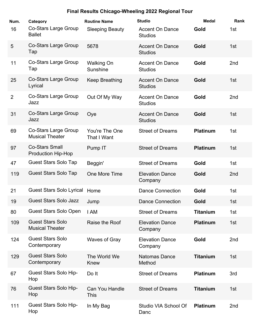| Num.           | Category                                              | <b>Routine Name</b>           | <b>Studio</b>                            | <b>Medal</b>    | Rank            |
|----------------|-------------------------------------------------------|-------------------------------|------------------------------------------|-----------------|-----------------|
| 16             | <b>Co-Stars Large Group</b><br><b>Ballet</b>          | <b>Sleeping Beauty</b>        | <b>Accent On Dance</b><br><b>Studios</b> | Gold            | 1st             |
| 5              | <b>Co-Stars Large Group</b><br>Tap                    | 5678                          | <b>Accent On Dance</b><br><b>Studios</b> | Gold            | 1st             |
| 11             | Co-Stars Large Group<br>Tap                           | <b>Walking On</b><br>Sunshine | <b>Accent On Dance</b><br><b>Studios</b> | Gold            | 2nd             |
| 25             | <b>Co-Stars Large Group</b><br>Lyrical                | Keep Breathing                | <b>Accent On Dance</b><br><b>Studios</b> | Gold            | 1st             |
| $\overline{2}$ | <b>Co-Stars Large Group</b><br>Jazz                   | Out Of My Way                 | <b>Accent On Dance</b><br><b>Studios</b> | Gold            | 2 <sub>nd</sub> |
| 31             | <b>Co-Stars Large Group</b><br>Jazz                   | Oye                           | <b>Accent On Dance</b><br><b>Studios</b> | Gold            | 1st             |
| 69             | <b>Co-Stars Large Group</b><br><b>Musical Theater</b> | You're The One<br>That I Want | <b>Street of Dreams</b>                  | <b>Platinum</b> | 1st             |
| 97             | <b>Co-Stars Small</b><br><b>Production Hip-Hop</b>    | Pump IT                       | <b>Street of Dreams</b>                  | <b>Platinum</b> | 1st             |
| 47             | <b>Guest Stars Solo Tap</b>                           | Beggin'                       | <b>Street of Dreams</b>                  | Gold            | 1st             |
| 119            | <b>Guest Stars Solo Tap</b>                           | One More Time                 | <b>Elevation Dance</b><br>Company        | Gold            | 2 <sub>nd</sub> |
| 21             | <b>Guest Stars Solo Lyrical</b>                       | Home                          | <b>Dance Connection</b>                  | Gold            | 1st             |
| 19             | <b>Guest Stars Solo Jazz</b>                          | Jump                          | <b>Dance Connection</b>                  | Gold            | 1st             |
| 80             | <b>Guest Stars Solo Open</b>                          | I AM                          | <b>Street of Dreams</b>                  | <b>Titanium</b> | 1st             |
| 109            | <b>Guest Stars Solo</b><br><b>Musical Theater</b>     | Raise the Roof                | <b>Elevation Dance</b><br>Company        | <b>Platinum</b> | 1st             |
| 124            | <b>Guest Stars Solo</b><br>Contemporary               | <b>Waves of Gray</b>          | <b>Elevation Dance</b><br>Company        | Gold            | 2nd             |
| 129            | <b>Guest Stars Solo</b><br>Contemporary               | The World We<br>Knew          | <b>Natomas Dance</b><br>Method           | <b>Titanium</b> | 1st             |
| 67             | <b>Guest Stars Solo Hip-</b><br>Hop                   | Do It                         | <b>Street of Dreams</b>                  | <b>Platinum</b> | 3rd             |
| 76             | <b>Guest Stars Solo Hip-</b><br>Hop                   | Can You Handle<br><b>This</b> | <b>Street of Dreams</b>                  | <b>Titanium</b> | 1st             |
| 111            | <b>Guest Stars Solo Hip-</b><br>Hop                   | In My Bag                     | Studio VIA School Of<br>Danc             | <b>Platinum</b> | 2nd             |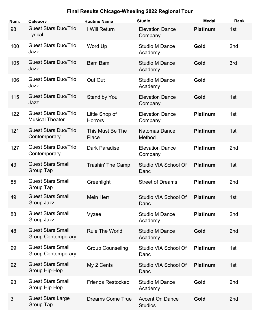| Num. | Category                                              | <b>Routine Name</b>              | <b>Studio</b>                            | <b>Medal</b>    | Rank            |
|------|-------------------------------------------------------|----------------------------------|------------------------------------------|-----------------|-----------------|
| 98   | <b>Guest Stars Duo/Trio</b><br>Lyrical                | I Will Return                    | <b>Elevation Dance</b><br>Company        | <b>Platinum</b> | 1st             |
| 100  | <b>Guest Stars Duo/Trio</b><br>Jazz                   | Word Up                          | <b>Studio M Dance</b><br>Academy         | Gold            | 2 <sub>nd</sub> |
| 105  | <b>Guest Stars Duo/Trio</b><br>Jazz                   | <b>Bam Bam</b>                   | <b>Studio M Dance</b><br>Academy         | Gold            | 3rd             |
| 106  | <b>Guest Stars Duo/Trio</b><br>Jazz                   | Out Out                          | <b>Studio M Dance</b><br>Academy         | Gold            |                 |
| 115  | <b>Guest Stars Duo/Trio</b><br>Jazz                   | Stand by You                     | <b>Elevation Dance</b><br>Company        | Gold            | 1st             |
| 122  | <b>Guest Stars Duo/Trio</b><br><b>Musical Theater</b> | Little Shop of<br><b>Horrors</b> | <b>Elevation Dance</b><br>Company        | <b>Platinum</b> | 1st             |
| 121  | <b>Guest Stars Duo/Trio</b><br>Contemporary           | This Must Be The<br>Place        | <b>Natomas Dance</b><br>Method           | <b>Platinum</b> | 1st             |
| 127  | <b>Guest Stars Duo/Trio</b><br>Contemporary           | Dark Paradise                    | <b>Elevation Dance</b><br>Company        | <b>Platinum</b> | 2 <sub>nd</sub> |
| 43   | <b>Guest Stars Small</b><br>Group Tap                 | Trashin' The Camp                | Studio VIA School Of<br>Danc             | <b>Platinum</b> | 1st             |
| 85   | <b>Guest Stars Small</b><br>Group Tap                 | Greenlight                       | <b>Street of Dreams</b>                  | <b>Platinum</b> | 2nd             |
| 49   | <b>Guest Stars Small</b><br>Group Jazz                | <b>Mein Herr</b>                 | Studio VIA School Of<br>Danc             | <b>Platinum</b> | 1st             |
| 88   | <b>Guest Stars Small</b><br>Group Jazz                | Vyzee                            | <b>Studio M Dance</b><br>Academy         | <b>Platinum</b> | 2 <sub>nd</sub> |
| 48   | <b>Guest Stars Small</b><br><b>Group Contemporary</b> | <b>Rule The World</b>            | <b>Studio M Dance</b><br>Academy         | Gold            | 2nd             |
| 99   | <b>Guest Stars Small</b><br><b>Group Contemporary</b> | <b>Group Counseling</b>          | Studio VIA School Of<br>Danc             | <b>Platinum</b> | 1st             |
| 92   | <b>Guest Stars Small</b><br>Group Hip-Hop             | My 2 Cents                       | Studio VIA School Of<br>Danc             | <b>Platinum</b> | 1st             |
| 93   | <b>Guest Stars Small</b><br>Group Hip-Hop             | <b>Friends Restocked</b>         | <b>Studio M Dance</b><br>Academy         | Gold            | 2nd             |
| 3    | <b>Guest Stars Large</b><br>Group Tap                 | <b>Dreams Come True</b>          | <b>Accent On Dance</b><br><b>Studios</b> | Gold            | 2 <sub>nd</sub> |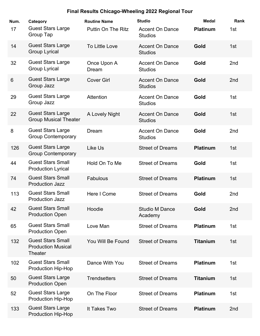| Num.           | Category                                                                | <b>Routine Name</b>       | <b>Studio</b>                            | <b>Medal</b>    | Rank            |
|----------------|-------------------------------------------------------------------------|---------------------------|------------------------------------------|-----------------|-----------------|
| 17             | <b>Guest Stars Large</b><br>Group Tap                                   | <b>Puttin On The Ritz</b> | <b>Accent On Dance</b><br><b>Studios</b> | <b>Platinum</b> | 1st             |
| 14             | <b>Guest Stars Large</b><br><b>Group Lyrical</b>                        | <b>To Little Love</b>     | <b>Accent On Dance</b><br><b>Studios</b> | Gold            | 1st             |
| 32             | <b>Guest Stars Large</b><br><b>Group Lyrical</b>                        | Once Upon A<br>Dream      | <b>Accent On Dance</b><br><b>Studios</b> | Gold            | 2nd             |
| $6\phantom{1}$ | <b>Guest Stars Large</b><br>Group Jazz                                  | <b>Cover Girl</b>         | <b>Accent On Dance</b><br><b>Studios</b> | Gold            | 2nd             |
| 29             | <b>Guest Stars Large</b><br>Group Jazz                                  | Attention                 | <b>Accent On Dance</b><br><b>Studios</b> | Gold            | 1st             |
| 22             | <b>Guest Stars Large</b><br><b>Group Musical Theater</b>                | A Lovely Night            | <b>Accent On Dance</b><br><b>Studios</b> | Gold            | 1st             |
| 8              | <b>Guest Stars Large</b><br><b>Group Contemporary</b>                   | Dream                     | <b>Accent On Dance</b><br><b>Studios</b> | Gold            | 2nd             |
| 126            | <b>Guest Stars Large</b><br><b>Group Contemporary</b>                   | Like Us                   | <b>Street of Dreams</b>                  | <b>Platinum</b> | 1st             |
| 44             | <b>Guest Stars Small</b><br><b>Production Lyrical</b>                   | Hold On To Me             | <b>Street of Dreams</b>                  | Gold            | 1st             |
| 74             | <b>Guest Stars Small</b><br><b>Production Jazz</b>                      | <b>Fabulous</b>           | <b>Street of Dreams</b>                  | <b>Platinum</b> | 1st             |
| 113            | <b>Guest Stars Small</b><br><b>Production Jazz</b>                      | Here I Come               | <b>Street of Dreams</b>                  | Gold            | 2 <sub>nd</sub> |
| 42             | <b>Guest Stars Small</b><br><b>Production Open</b>                      | Hoodie                    | <b>Studio M Dance</b><br>Academy         | Gold            | 2nd             |
| 65             | <b>Guest Stars Small</b><br><b>Production Open</b>                      | Love Man                  | <b>Street of Dreams</b>                  | <b>Platinum</b> | 1st             |
| 132            | <b>Guest Stars Small</b><br><b>Production Musical</b><br><b>Theater</b> | You Will Be Found         | <b>Street of Dreams</b>                  | <b>Titanium</b> | 1st             |
| 102            | <b>Guest Stars Small</b><br><b>Production Hip-Hop</b>                   | Dance With You            | <b>Street of Dreams</b>                  | <b>Platinum</b> | 1st             |
| 50             | <b>Guest Stars Large</b><br><b>Production Open</b>                      | <b>Trendsetters</b>       | <b>Street of Dreams</b>                  | <b>Titanium</b> | 1st             |
| 52             | <b>Guest Stars Large</b><br><b>Production Hip-Hop</b>                   | On The Floor              | <b>Street of Dreams</b>                  | <b>Platinum</b> | 1st             |
| 133            | <b>Guest Stars Large</b><br>Production Hip-Hop                          | It Takes Two              | <b>Street of Dreams</b>                  | <b>Platinum</b> | 2 <sub>nd</sub> |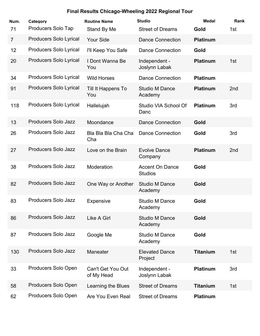| Num.<br>71     | Category<br><b>Producers Solo Tap</b> | <b>Routine Name</b><br>Stand By Me     | <b>Studio</b><br><b>Street of Dreams</b> | <b>Medal</b><br>Gold | Rank<br>1st     |
|----------------|---------------------------------------|----------------------------------------|------------------------------------------|----------------------|-----------------|
| $\overline{7}$ | <b>Producers Solo Lyrical</b>         | <b>Your Side</b>                       | <b>Dance Connection</b>                  | <b>Platinum</b>      |                 |
|                |                                       |                                        |                                          |                      |                 |
| 12             | <b>Producers Solo Lyrical</b>         | I'll Keep You Safe                     | <b>Dance Connection</b>                  | Gold                 |                 |
| 20             | Producers Solo Lyrical                | I Dont Wanna Be<br>You                 | Independent -<br>Joslynn Labak           | <b>Platinum</b>      | 1st             |
| 34             | <b>Producers Solo Lyrical</b>         | <b>Wild Horses</b>                     | <b>Dance Connection</b>                  | <b>Platinum</b>      |                 |
| 91             | <b>Producers Solo Lyrical</b>         | Till It Happens To<br>You              | <b>Studio M Dance</b><br>Academy         | <b>Platinum</b>      | 2 <sub>nd</sub> |
| 118            | <b>Producers Solo Lyrical</b>         | Hallelujah                             | Studio VIA School Of<br>Danc             | <b>Platinum</b>      | 3rd             |
| 13             | Producers Solo Jazz                   | Moondance                              | <b>Dance Connection</b>                  | Gold                 |                 |
| 26             | <b>Producers Solo Jazz</b>            | Bla Bla Bla Cha Cha<br>Cha             | <b>Dance Connection</b>                  | Gold                 | 3rd             |
| 27             | <b>Producers Solo Jazz</b>            | Love on the Brain                      | <b>Evolve Dance</b><br>Company           | <b>Platinum</b>      | 2 <sub>nd</sub> |
| 38             | <b>Producers Solo Jazz</b>            | Moderation                             | <b>Accent On Dance</b><br><b>Studios</b> | Gold                 |                 |
| 82             | <b>Producers Solo Jazz</b>            | One Way or Another                     | <b>Studio M Dance</b><br>Academy         | Gold                 |                 |
| 83             | <b>Producers Solo Jazz</b>            | <b>Expensive</b>                       | <b>Studio M Dance</b><br>Academy         | Gold                 |                 |
| 86             | <b>Producers Solo Jazz</b>            | Like A Girl                            | <b>Studio M Dance</b><br>Academy         | Gold                 |                 |
| 87             | Producers Solo Jazz                   | Google Me                              | <b>Studio M Dance</b><br>Academy         | Gold                 |                 |
| 130            | <b>Producers Solo Jazz</b>            | Maneater                               | <b>Elevated Dance</b><br>Project         | <b>Titanium</b>      | 1st             |
| 33             | Producers Solo Open                   | <b>Can't Get You Out</b><br>of My Head | Independent -<br>Joslynn Labak           | <b>Platinum</b>      | 3rd             |
| 58             | Producers Solo Open                   | Learning the Blues                     | <b>Street of Dreams</b>                  | <b>Titanium</b>      | 1st             |
| 62             | Producers Solo Open                   | Are You Even Real                      | <b>Street of Dreams</b>                  | <b>Platinum</b>      |                 |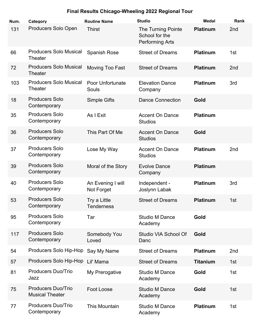| Num. | Category                                            | <b>Routine Name</b>              | <b>Studio</b>                                                  | <b>Medal</b>    | Rank            |
|------|-----------------------------------------------------|----------------------------------|----------------------------------------------------------------|-----------------|-----------------|
| 131  | Producers Solo Open                                 | <b>Thirst</b>                    | The Turning Pointe<br>School for the<br><b>Performing Arts</b> | <b>Platinum</b> | 2nd             |
| 66   | <b>Producers Solo Musical</b><br><b>Theater</b>     | <b>Spanish Rose</b>              | <b>Street of Dreams</b>                                        | <b>Platinum</b> | 1st             |
| 72   | <b>Producers Solo Musical</b><br><b>Theater</b>     | Moving Too Fast                  | <b>Street of Dreams</b>                                        | <b>Platinum</b> | 2nd             |
| 103  | <b>Producers Solo Musical</b><br><b>Theater</b>     | <b>Poor Unfortunate</b><br>Souls | <b>Elevation Dance</b><br>Company                              | <b>Platinum</b> | 3rd             |
| 18   | <b>Producers Solo</b><br>Contemporary               | <b>Simple Gifts</b>              | <b>Dance Connection</b>                                        | Gold            |                 |
| 35   | <b>Producers Solo</b><br>Contemporary               | As I Exit                        | <b>Accent On Dance</b><br><b>Studios</b>                       | <b>Platinum</b> |                 |
| 36   | <b>Producers Solo</b><br>Contemporary               | This Part Of Me                  | <b>Accent On Dance</b><br><b>Studios</b>                       | Gold            |                 |
| 37   | <b>Producers Solo</b><br>Contemporary               | Lose My Way                      | <b>Accent On Dance</b><br><b>Studios</b>                       | <b>Platinum</b> | 2nd             |
| 39   | <b>Producers Solo</b><br>Contemporary               | Moral of the Story               | <b>Evolve Dance</b><br>Company                                 | <b>Platinum</b> |                 |
| 40   | <b>Producers Solo</b><br>Contemporary               | An Evening I will<br>Not Forget  | Independent -<br>Joslynn Labak                                 | <b>Platinum</b> | 3rd             |
| 53   | <b>Producers Solo</b><br>Contemporary               | Try a Little<br>Tenderness       | <b>Street of Dreams</b>                                        | <b>Platinum</b> | 1st             |
| 95   | <b>Producers Solo</b><br>Contemporary               | Tar                              | <b>Studio M Dance</b><br>Academy                               | Gold            |                 |
| 117  | <b>Producers Solo</b><br>Contemporary               | Somebody You<br>Loved            | Studio VIA School Of<br>Danc                                   | Gold            |                 |
| 54   | Producers Solo Hip-Hop                              | Say My Name                      | <b>Street of Dreams</b>                                        | <b>Platinum</b> | 2 <sub>nd</sub> |
| 57   | Producers Solo Hip-Hop                              | Lil' Mama                        | <b>Street of Dreams</b>                                        | <b>Titanium</b> | 1st             |
| 81   | <b>Producers Duo/Trio</b><br>Jazz                   | My Prerogative                   | <b>Studio M Dance</b><br>Academy                               | Gold            | 1st             |
| 75   | <b>Producers Duo/Trio</b><br><b>Musical Theater</b> | Foot Loose                       | <b>Studio M Dance</b><br>Academy                               | Gold            | 1st             |
| 77   | <b>Producers Duo/Trio</b><br>Contemporary           | This Mountain                    | <b>Studio M Dance</b><br>Academy                               | <b>Platinum</b> | 1st             |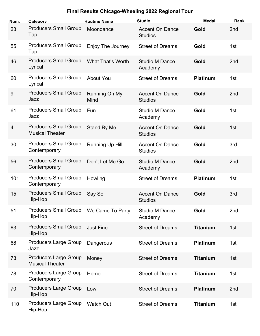| Num.           | Category                                               | <b>Routine Name</b>      | <b>Studio</b>                            | <b>Medal</b>    | Rank            |
|----------------|--------------------------------------------------------|--------------------------|------------------------------------------|-----------------|-----------------|
| 23             | <b>Producers Small Group</b><br>Tap                    | Moondance                | <b>Accent On Dance</b><br><b>Studios</b> | Gold            | 2nd             |
| 55             | <b>Producers Small Group</b><br>Tap                    | Enjoy The Journey        | <b>Street of Dreams</b>                  | Gold            | 1st             |
| 46             | <b>Producers Small Group</b><br>Lyrical                | <b>What That's Worth</b> | <b>Studio M Dance</b><br>Academy         | Gold            | 2nd             |
| 60             | <b>Producers Small Group</b><br>Lyrical                | <b>About You</b>         | <b>Street of Dreams</b>                  | <b>Platinum</b> | 1st             |
| 9              | <b>Producers Small Group</b><br>Jazz                   | Running On My<br>Mind    | <b>Accent On Dance</b><br><b>Studios</b> | Gold            | 2 <sub>nd</sub> |
| 61             | <b>Producers Small Group</b><br>Jazz                   | Fun                      | <b>Studio M Dance</b><br>Academy         | Gold            | 1st             |
| $\overline{4}$ | <b>Producers Small Group</b><br><b>Musical Theater</b> | Stand By Me              | <b>Accent On Dance</b><br><b>Studios</b> | Gold            | 1st             |
| 30             | <b>Producers Small Group</b><br>Contemporary           | <b>Running Up Hill</b>   | <b>Accent On Dance</b><br><b>Studios</b> | Gold            | 3rd             |
| 56             | <b>Producers Small Group</b><br>Contemporary           | Don't Let Me Go          | <b>Studio M Dance</b><br>Academy         | Gold            | 2nd             |
| 101            | <b>Producers Small Group</b><br>Contemporary           | Howling                  | <b>Street of Dreams</b>                  | <b>Platinum</b> | 1st             |
| 15             | <b>Producers Small Group</b><br>Hip-Hop                | Say So                   | <b>Accent On Dance</b><br><b>Studios</b> | Gold            | 3rd             |
| 51             | <b>Producers Small Group</b><br>Hip-Hop                | We Came To Party         | <b>Studio M Dance</b><br>Academy         | Gold            | 2nd             |
| 63             | <b>Producers Small Group</b><br>Hip-Hop                | <b>Just Fine</b>         | <b>Street of Dreams</b>                  | <b>Titanium</b> | 1st             |
| 68             | <b>Producers Large Group</b><br>Jazz                   | Dangerous                | <b>Street of Dreams</b>                  | <b>Platinum</b> | 1st             |
| 73             | <b>Producers Large Group</b><br><b>Musical Theater</b> | Money                    | <b>Street of Dreams</b>                  | <b>Titanium</b> | 1st             |
| 78             | <b>Producers Large Group</b><br>Contemporary           | Home                     | <b>Street of Dreams</b>                  | <b>Titanium</b> | 1st             |
| 70             | <b>Producers Large Group</b><br>Hip-Hop                | Low                      | <b>Street of Dreams</b>                  | <b>Platinum</b> | 2nd             |
| 110            | <b>Producers Large Group</b><br>Hip-Hop                | <b>Watch Out</b>         | <b>Street of Dreams</b>                  | <b>Titanium</b> | 1st             |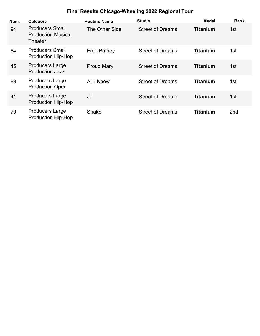| Num. | Category                                                       | <b>Routine Name</b>   | <b>Studio</b>           | Medal           | Rank |
|------|----------------------------------------------------------------|-----------------------|-------------------------|-----------------|------|
| 94   | <b>Producers Small</b><br><b>Production Musical</b><br>Theater | <b>The Other Side</b> | <b>Street of Dreams</b> | <b>Titanium</b> | 1st  |
| 84   | <b>Producers Small</b><br><b>Production Hip-Hop</b>            | <b>Free Britney</b>   | <b>Street of Dreams</b> | <b>Titanium</b> | 1st  |
| 45   | <b>Producers Large</b><br><b>Production Jazz</b>               | <b>Proud Mary</b>     | <b>Street of Dreams</b> | <b>Titanium</b> | 1st  |
| 89   | <b>Producers Large</b><br><b>Production Open</b>               | All I Know            | <b>Street of Dreams</b> | <b>Titanium</b> | 1st  |
| 41   | <b>Producers Large</b><br>Production Hip-Hop                   | <b>JT</b>             | <b>Street of Dreams</b> | <b>Titanium</b> | 1st  |
| 79   | <b>Producers Large</b><br><b>Production Hip-Hop</b>            | <b>Shake</b>          | <b>Street of Dreams</b> | <b>Titanium</b> | 2nd  |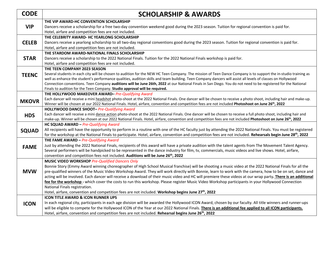| <b>CODE</b>  | <b>SCHOLARSHIP &amp; AWARDS</b>                                                                                                                                                                                                                                                                                              |
|--------------|------------------------------------------------------------------------------------------------------------------------------------------------------------------------------------------------------------------------------------------------------------------------------------------------------------------------------|
|              | THE VIP AWARD-HC CONVENTION SCHOLARSHIP                                                                                                                                                                                                                                                                                      |
| <b>VIP</b>   | Dancers receive a scholarship for a free two-day convention weekend good during the 2023 season. Tuition for regional convention is paid for.                                                                                                                                                                                |
|              | Hotel, airfare and competition fees are not included.<br>THE CELEBRITY AWARD- HC YEARLONG SCHOLARSHIP                                                                                                                                                                                                                        |
| <b>CELEB</b> | Dancers receive a yearlong scholarship to all two-day regional conventions good during the 2023 season. Tuition for regional convention is paid for.                                                                                                                                                                         |
|              | Hotel, airfare and competition fees are not included.                                                                                                                                                                                                                                                                        |
|              | THE STARDOM AWARD-NATIONAL FINALS SCHOLARSHIP                                                                                                                                                                                                                                                                                |
| <b>STAR</b>  | Dancers receive a scholarship to the 2022 National Finals. Tuition for the 2022 National Finals workshop is paid for.                                                                                                                                                                                                        |
|              | Hotel, airfare and competition fees are not included.                                                                                                                                                                                                                                                                        |
|              | THE TEEN COMPANY 2023 SEASON                                                                                                                                                                                                                                                                                                 |
| <b>TEENC</b> | Several students in each city will be chosen to audition for the NEW HC Teen Company. The mission of Teen Dance Company is to support the in-studio training as                                                                                                                                                              |
|              | well as enhance the student's performance qualities, audition skills and team building. Teen Company dancers will assist all levels of classes on Hollywood<br>Connection conventions. Teen Company auditions will be June 26th, 2022 at our National Finals in San Diego. You do not need to be registered for the National |
|              | Finals to audition for the Teen Company. Studio approval will be required.                                                                                                                                                                                                                                                   |
|              | THE HOLLYWOOD MAKEOVER AWARD-Pre-Qualifying Award                                                                                                                                                                                                                                                                            |
| <b>MKOVR</b> | Each dancer will receive a mini headshot photo-shoot at the 2022 National Finals. One dancer will be chosen to receive a photo shoot, including hair and make-up.                                                                                                                                                            |
|              | Winner will be chosen at our 2022 National Finals. Hotel, airfare, convention and competition fees are not included Photoshoot on June 26 <sup>th</sup> , 2022                                                                                                                                                               |
|              | HOLLYWOOD DANCE SHOOT- Pre-Qualifying Award                                                                                                                                                                                                                                                                                  |
| <b>HDS</b>   | Each dancer will receive a mini dance action photo-shoot at the 2022 National Finals. One dancer will be chosen to receive a full photo shoot, including hair and                                                                                                                                                            |
|              | make-up. Winner will be chosen at our 2022 National Finals. Hotel, airfare, convention and competition fees are not included Photoshoot on June 26th, 2022<br>HC SQUAD AWARD - Pre-Qualifying Award                                                                                                                          |
|              | All recipients will have the opportunity to perform in a routine with one of the HC faculty just by attending the 2022 National Finals. You must be registered                                                                                                                                                               |
| <b>SQUAD</b> | for the workshop at the National Finals to participate. Hotel, airfare, convention and competition fees are not included. Rehearsals begin June 28 <sup>th</sup> , 2022                                                                                                                                                      |
|              | THE FAME AWARD - Pre-Qualifying Award                                                                                                                                                                                                                                                                                        |
| <b>FAME</b>  | Just by attending the 2022 National Finals, recipients of this award will have a private audition with the talent agents from The Movement Talent Agency.                                                                                                                                                                    |
|              | Several performers will be handpicked to be represented in the dance industry for film, tv, commercials, music videos and live shows. Hotel, airfare,                                                                                                                                                                        |
|              | convention and competition fees not included. Auditions will be June 26 <sup>th</sup> , 2022                                                                                                                                                                                                                                 |
|              | <b>MUSIC VIDEO WORKSHOP Pre-Qualified Dancers Only</b>                                                                                                                                                                                                                                                                       |
| <b>MVW</b>   | Bonnie Story (Emmy Award winning choreographer of High School Musical franchise) will be shooting a music video at the 2022 National Finals for all the<br>pre-qualified winners of the Music Video Workshop Award. They will work directly with Bonnie, learn to work with the camera, how to be on set, dance and          |
|              | acting will be involved. Each dancer will receive a download of their music video and HC will premiere these videos at our wrap party. There is an additional                                                                                                                                                                |
|              | fee for the workshop - which cover the costs to run this workshop. Please register Music Video Workshop participants in your Hollywood Connection                                                                                                                                                                            |
|              | National Finals registration.                                                                                                                                                                                                                                                                                                |
|              | Hotel, airfare, convention and competition fees are not included. Workshop begins June 27th, 2022                                                                                                                                                                                                                            |
|              | <b>ICON TITLE AWARD &amp; ICON RUNNER UPS</b>                                                                                                                                                                                                                                                                                |
| <b>ICON</b>  | In each regional city, participants in each age division will be awarded the Hollywood ICON Award, chosen by our faculty. All title winners and runner-ups                                                                                                                                                                   |
|              | will be eligible to compete for the Hollywood ICON of the Year at our 2022 National Finals. There is an additional fee applied to all ICON participants.                                                                                                                                                                     |
|              | Hotel, airfare, convention and competition fees are not included. Rehearsal begins June 26 <sup>th</sup> , 2022                                                                                                                                                                                                              |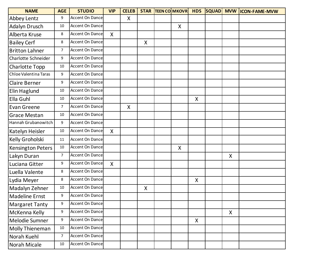| <b>NAME</b>              | <b>AGE</b>     | <b>STUDIO</b>          | <b>VIP</b>   | <b>CELEB</b>       |   | <b>STAR TEEN COMKOVR</b> | <b>HDS</b> | <b>SQUAD</b> |   | MVW  ICON-FAME-MVW |
|--------------------------|----------------|------------------------|--------------|--------------------|---|--------------------------|------------|--------------|---|--------------------|
| Abbey Lentz              | 9              | <b>Accent On Dance</b> |              | $\pmb{\mathsf{X}}$ |   |                          |            |              |   |                    |
| <b>Adalyn Drusch</b>     | 10             | Accent On Dance        |              |                    |   | X                        |            |              |   |                    |
| Alberta Kruse            | 8              | <b>Accent On Dance</b> | $\mathsf{X}$ |                    |   |                          |            |              |   |                    |
| <b>Bailey Cerf</b>       | 8              | <b>Accent On Dance</b> |              |                    | X |                          |            |              |   |                    |
| <b>Britton Lahner</b>    | 7              | <b>Accent On Dance</b> |              |                    |   |                          |            |              |   |                    |
| Charlotte Schneider      | 9              | <b>Accent On Dance</b> |              |                    |   |                          |            |              |   |                    |
| Charlotte Topp           | $10\,$         | <b>Accent On Dance</b> |              |                    |   |                          |            |              |   |                    |
| Chloe Valentina Taras    | 9              | Accent On Dance        |              |                    |   |                          |            |              |   |                    |
| <b>Claire Berner</b>     | 9              | Accent On Dance        |              |                    |   |                          |            |              |   |                    |
| Elin Haglund             | $10\,$         | <b>Accent On Dance</b> |              |                    |   |                          |            |              |   |                    |
| Ella Guhl                | 10             | <b>Accent On Dance</b> |              |                    |   |                          | X          |              |   |                    |
| Evan Greene              | $\overline{7}$ | <b>Accent On Dance</b> |              | $\mathsf{X}$       |   |                          |            |              |   |                    |
| <b>Grace Mestan</b>      | 10             | Accent On Dance        |              |                    |   |                          |            |              |   |                    |
| Hannah Grubanowitch      | 9              | Accent On Dance        |              |                    |   |                          |            |              |   |                    |
| Katelyn Heisler          | 10             | <b>Accent On Dance</b> | X            |                    |   |                          |            |              |   |                    |
| Kelly Groholski          | 11             | <b>Accent On Dance</b> |              |                    |   |                          |            |              |   |                    |
| <b>Kensington Peters</b> | 10             | <b>Accent On Dance</b> |              |                    |   | $\pmb{\mathsf{X}}$       |            |              |   |                    |
| Lakyn Duran              | 7              | Accent On Dance        |              |                    |   |                          |            |              | X |                    |
| Luciana Gitter           | 9              | <b>Accent On Dance</b> | X            |                    |   |                          |            |              |   |                    |
| Luella Valente           | 8              | <b>Accent On Dance</b> |              |                    |   |                          |            |              |   |                    |
| Lydia Meyer              | 8              | Accent On Dance        |              |                    |   |                          | X          |              |   |                    |
| Madalyn Zehner           | 10             | <b>Accent On Dance</b> |              |                    | X |                          |            |              |   |                    |
| <b>Madeline Ernst</b>    | 9              | Accent On Dance        |              |                    |   |                          |            |              |   |                    |
| <b>Margaret Tanty</b>    | 9              | <b>Accent On Dance</b> |              |                    |   |                          |            |              |   |                    |
| McKenna Kelly            | 9              | Accent On Dance        |              |                    |   |                          |            |              | X |                    |
| Melodie Sumner           | 9              | Accent On Dance        |              |                    |   |                          | X          |              |   |                    |
| Molly Thieneman          | 10             | Accent On Dance        |              |                    |   |                          |            |              |   |                    |
| Norah Kuehl              | $\overline{7}$ | Accent On Dance        |              |                    |   |                          |            |              |   |                    |
| Norah Micale             | $10\,$         | Accent On Dance        |              |                    |   |                          |            |              |   |                    |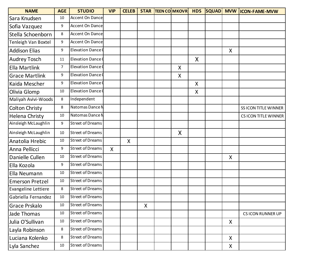| <b>NAME</b>            | <b>AGE</b>     | <b>STUDIO</b>            | <b>VIP</b>   | <b>CELEB</b> |   | <b>STAR TEEN COMKOVR</b> | <b>HDS</b>                |   | SQUAD MVW ICON-FAME-MVW  |
|------------------------|----------------|--------------------------|--------------|--------------|---|--------------------------|---------------------------|---|--------------------------|
| Sara Knudsen           | 10             | <b>Accent On Dance</b>   |              |              |   |                          |                           |   |                          |
| Sofia Vazquez          | 9              | <b>Accent On Dance</b>   |              |              |   |                          |                           |   |                          |
| Stella Schoenborn      | 8              | Accent On Dance          |              |              |   |                          |                           |   |                          |
| Tenleigh Van Boxtel    | 9              | <b>Accent On Dance</b>   |              |              |   |                          |                           |   |                          |
| <b>Addison Elias</b>   | 9              | <b>Elevation Dance</b>   |              |              |   |                          |                           | X |                          |
| <b>Audrey Tosch</b>    | 11             | <b>Elevation Dance C</b> |              |              |   |                          | X                         |   |                          |
| <b>Ella Martlink</b>   | $\overline{7}$ | <b>Elevation Dance 0</b> |              |              |   | X                        |                           |   |                          |
| <b>Grace Martlink</b>  | 9              | Elevation Dance (        |              |              |   | X                        |                           |   |                          |
| Kaida Mescher          | 9              | <b>Elevation Dance</b>   |              |              |   |                          | $\boldsymbol{\mathsf{X}}$ |   |                          |
| Olivia Glomp           | 10             | <b>Elevation Dance C</b> |              |              |   |                          | X                         |   |                          |
| Maliyah Avivi-Woods    | 8              | Independent              |              |              |   |                          |                           |   |                          |
| <b>Colton Christy</b>  | 8              | Natomas Dance N          |              |              |   |                          |                           |   | SS ICON TITLE WINNER     |
| Helena Christy         | 10             | Natomas Dance N          |              |              |   |                          |                           |   | CS ICON TITLE WINNER     |
| Ainsleigh McLaughlin   | 9              | <b>Street of Dreams</b>  |              |              |   |                          |                           |   |                          |
| Ainsleigh McLaughlin   | 10             | <b>Street of Dreams</b>  |              |              |   | X                        |                           |   |                          |
| Anatolia Hrebic        | 10             | <b>Street of Dreams</b>  |              | X            |   |                          |                           |   |                          |
| Anna Pellicci          | 9              | <b>Street of Dreams</b>  | $\mathsf{X}$ |              |   |                          |                           |   |                          |
| Danielle Cullen        | 10             | <b>Street of Dreams</b>  |              |              |   |                          |                           | X |                          |
| Ella Kozola            | 9              | <b>Street of Dreams</b>  |              |              |   |                          |                           |   |                          |
| Ella Neumann           | 10             | <b>Street of Dreams</b>  |              |              |   |                          |                           |   |                          |
| <b>Emerson Pretzel</b> | $10\,$         | <b>Street of Dreams</b>  |              |              |   |                          |                           |   |                          |
| Evangeline Lettiere    | 8              | <b>Street of Dreams</b>  |              |              |   |                          |                           |   |                          |
| Gabriella Fernandez    | 10             | Street of Dreams         |              |              |   |                          |                           |   |                          |
| Grace Prskalo          | 10             | <b>Street of Dreams</b>  |              |              | X |                          |                           |   |                          |
| Jade Thomas            | $10\,$         | <b>Street of Dreams</b>  |              |              |   |                          |                           |   | <b>CS ICON RUNNER UP</b> |
| Julia O'Sullivan       | 10             | <b>Street of Dreams</b>  |              |              |   |                          |                           | X |                          |
| Layla Robinson         | 8              | <b>Street of Dreams</b>  |              |              |   |                          |                           |   |                          |
| Luciana Kolenko        | 8              | <b>Street of Dreams</b>  |              |              |   |                          |                           | X |                          |
| Lyla Sanchez           | 10             | Street of Dreams         |              |              |   |                          |                           | X |                          |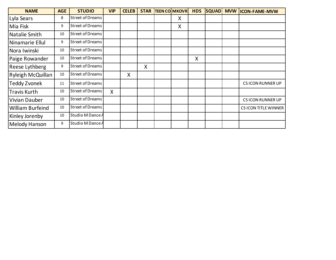| <b>NAME</b>             | <b>AGE</b> | <b>STUDIO</b>           | <b>VIP</b> | <b>CELEB</b> | <b>STAR</b> | <b>TEEN CO MKOVR</b> | <b>HDS</b> | <b>SQUAD</b> | <b>MVW</b> | <b>ICON-FAME-MVW</b>     |
|-------------------------|------------|-------------------------|------------|--------------|-------------|----------------------|------------|--------------|------------|--------------------------|
| Lyla Sears              | 8          | <b>Street of Dreams</b> |            |              |             | Χ                    |            |              |            |                          |
| Mia Fisk                | 9          | Street of Dreams        |            |              |             | X                    |            |              |            |                          |
| Natalie Smith           | 10         | Street of Dreams        |            |              |             |                      |            |              |            |                          |
| Ninamarie Ellul         | 9          | Street of Dreams        |            |              |             |                      |            |              |            |                          |
| Nora Iwinski            | 10         | Street of Dreams        |            |              |             |                      |            |              |            |                          |
| Paige Rowander          | 10         | Street of Dreams        |            |              |             |                      | X          |              |            |                          |
| <b>Reese Lythberg</b>   | 9          | Street of Dreams        |            |              | X           |                      |            |              |            |                          |
| Ryleigh McQuillan       | 10         | Street of Dreams        |            | X            |             |                      |            |              |            |                          |
| <b>Teddy Zvonek</b>     | 11         | Street of Dreams        |            |              |             |                      |            |              |            | <b>CS ICON RUNNER UP</b> |
| <b>Travis Kurth</b>     | 10         | Street of Dreams        | X          |              |             |                      |            |              |            |                          |
| Vivian Dauber           | 10         | Street of Dreams        |            |              |             |                      |            |              |            | <b>CS ICON RUNNER UP</b> |
| <b>William Burfeind</b> | 10         | Street of Dreams        |            |              |             |                      |            |              |            | CS ICON TITLE WINNER     |
| Kinley Jorenby          | 10         | Studio M Dance A        |            |              |             |                      |            |              |            |                          |
| <b>Melody Hanson</b>    | 9          | Studio M Dance A        |            |              |             |                      |            |              |            |                          |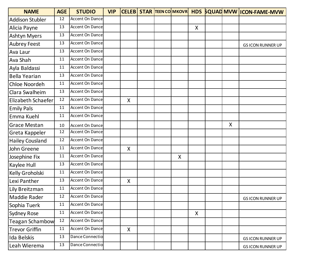| <b>NAME</b>            | <b>AGE</b> | <b>STUDIO</b>          | <b>VIP</b> |                    |  |   |                           |   | CELEB STAR TEEN COMKOVR HDS SQUAD MVW ICON-FAME-MVW |
|------------------------|------------|------------------------|------------|--------------------|--|---|---------------------------|---|-----------------------------------------------------|
| <b>Addison Stubler</b> | 12         | Accent On Dance        |            |                    |  |   |                           |   |                                                     |
| Alicia Payne           | 13         | Accent On Dance        |            |                    |  |   | $\boldsymbol{\mathsf{X}}$ |   |                                                     |
| <b>Ashtyn Myers</b>    | 13         | Accent On Dance        |            |                    |  |   |                           |   |                                                     |
| <b>Aubrey Feest</b>    | 13         | Accent On Dance        |            |                    |  |   |                           |   | <b>GS ICON RUNNER UP</b>                            |
| Ava Laur               | 13         | Accent On Dance        |            |                    |  |   |                           |   |                                                     |
| Ava Shah               | 11         | Accent On Dance        |            |                    |  |   |                           |   |                                                     |
| Ayla Baldassi          | 11         | Accent On Dance        |            |                    |  |   |                           |   |                                                     |
| Bella Yearian          | 13         | Accent On Dance        |            |                    |  |   |                           |   |                                                     |
| Chloe Noordeh          | 11         | Accent On Dance        |            |                    |  |   |                           |   |                                                     |
| Clara Swalheim         | 13         | Accent On Dance        |            |                    |  |   |                           |   |                                                     |
| Elizabeth Schaefer     | 12         | Accent On Dance        |            | X                  |  |   |                           |   |                                                     |
| <b>Emily Pals</b>      | 11         | Accent On Dance        |            |                    |  |   |                           |   |                                                     |
| Emma Kuehl             | 11         | Accent On Dance        |            |                    |  |   |                           |   |                                                     |
| <b>Grace Mestan</b>    | 10         | Accent On Dance        |            |                    |  |   |                           | X |                                                     |
| Greta Kappeler         | 12         | Accent On Dance        |            |                    |  |   |                           |   |                                                     |
| <b>Hailey Cousland</b> | 12         | Accent On Dance        |            |                    |  |   |                           |   |                                                     |
| John Greene            | 11         | <b>Accent On Dance</b> |            | X                  |  |   |                           |   |                                                     |
| Josephine Fix          | 11         | Accent On Dance        |            |                    |  | X |                           |   |                                                     |
| Kaylee Hull            | 13         | Accent On Dance        |            |                    |  |   |                           |   |                                                     |
| Kelly Groholski        | 11         | Accent On Dance        |            |                    |  |   |                           |   |                                                     |
| Lexi Panther           | 13         | Accent On Dance        |            | $\pmb{\mathsf{X}}$ |  |   |                           |   |                                                     |
| Lily Breitzman         | 11         | Accent On Dance        |            |                    |  |   |                           |   |                                                     |
| Maddie Rader           | 12         | Accent On Dance        |            |                    |  |   |                           |   | <b>GS ICON RUNNER UP</b>                            |
| Sophia Tuerk           | 11         | Accent On Dance        |            |                    |  |   |                           |   |                                                     |
| <b>Sydney Rose</b>     | 11         | Accent On Dance        |            |                    |  |   | $\boldsymbol{X}$          |   |                                                     |
| <b>Teagan Schambow</b> | 12         | Accent On Dance        |            |                    |  |   |                           |   |                                                     |
| <b>Trevor Griffin</b>  | 11         | Accent On Dance        |            | X                  |  |   |                           |   |                                                     |
| Ida Belskis            | 13         | Dance Connectio        |            |                    |  |   |                           |   | <b>GS ICON RUNNER UP</b>                            |
| Leah Wierema           | 13         | Dance Connectio        |            |                    |  |   |                           |   | <b>GS ICON RUNNER UP</b>                            |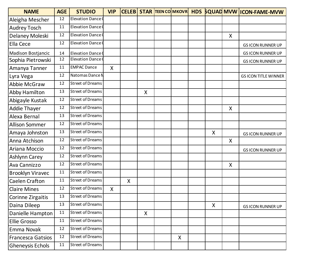| <b>NAME</b>               | <b>AGE</b> | <b>STUDIO</b>           | <b>VIP</b>   |   |              |   |         |   | CELEB STAR TEEN COMKOVR HDS SQUAD MVW ICON-FAME-MVW |
|---------------------------|------------|-------------------------|--------------|---|--------------|---|---------|---|-----------------------------------------------------|
| Aleigha Mescher           | 12         | Elevation Dance (       |              |   |              |   |         |   |                                                     |
| <b>Audrey Tosch</b>       | 11         | Elevation Dance (       |              |   |              |   |         |   |                                                     |
| Delaney Moleski           | 12         | Elevation Dance (       |              |   |              |   |         | X |                                                     |
| Ella Cece                 | 12         | Elevation Dance (       |              |   |              |   |         |   | <b>GS ICON RUNNER UP</b>                            |
| <b>Madison Bostjancic</b> | 14         | Elevation Dance (       |              |   |              |   |         |   | <b>GS ICON RUNNER UP</b>                            |
| Sophia Pietrowski         | 12         | Elevation Dance 0       |              |   |              |   |         |   | <b>GS ICON RUNNER UP</b>                            |
| Amanya Tanner             | 11         | <b>EMPAC Dance</b>      | $\mathsf{X}$ |   |              |   |         |   |                                                     |
| Lyra Vega                 | 12         | Natomas Dance N         |              |   |              |   |         |   | <b>GS ICON TITLE WINNER</b>                         |
| Abbie McGraw              | 12         | <b>Street of Dreams</b> |              |   |              |   |         |   |                                                     |
| Abby Hamilton             | 13         | <b>Street of Dreams</b> |              |   | X            |   |         |   |                                                     |
| Abigayle Kustak           | 12         | <b>Street of Dreams</b> |              |   |              |   |         |   |                                                     |
| <b>Addie Thayer</b>       | 12         | <b>Street of Dreams</b> |              |   |              |   |         | X |                                                     |
| Alexa Bernal              | 13         | <b>Street of Dreams</b> |              |   |              |   |         |   |                                                     |
| <b>Allison Sommer</b>     | 12         | <b>Street of Dreams</b> |              |   |              |   |         |   |                                                     |
| Amaya Johnston            | 13         | <b>Street of Dreams</b> |              |   |              |   | $\sf X$ |   | <b>GS ICON RUNNER UP</b>                            |
| Anna Atchison             | 12         | <b>Street of Dreams</b> |              |   |              |   |         | X |                                                     |
| Ariana Moccio             | 12         | <b>Street of Dreams</b> |              |   |              |   |         |   | <b>GS ICON RUNNER UP</b>                            |
| Ashlynn Carey             | 12         | <b>Street of Dreams</b> |              |   |              |   |         |   |                                                     |
| Ava Cannizzo              | 12         | <b>Street of Dreams</b> |              |   |              |   |         | X |                                                     |
| <b>Brooklyn Viravec</b>   | 11         | <b>Street of Dreams</b> |              |   |              |   |         |   |                                                     |
| Caelen Crafton            | 11         | <b>Street of Dreams</b> |              | X |              |   |         |   |                                                     |
| <b>Claire Mines</b>       | 12         | <b>Street of Dreams</b> | X            |   |              |   |         |   |                                                     |
| Corinne Zirgaitis         | 13         | Street of Dreams        |              |   |              |   |         |   |                                                     |
| Daina Dileep              | 13         | <b>Street of Dreams</b> |              |   |              |   | X.      |   | <b>GS ICON RUNNER UP</b>                            |
| Danielle Hampton          | 11         | <b>Street of Dreams</b> |              |   | $\mathsf{X}$ |   |         |   |                                                     |
| <b>Ellie Grosso</b>       | 11         | <b>Street of Dreams</b> |              |   |              |   |         |   |                                                     |
| Emma Novak                | 12         | Street of Dreams        |              |   |              |   |         |   |                                                     |
| <b>Francesca Gatsios</b>  | 12         | <b>Street of Dreams</b> |              |   |              | X |         |   |                                                     |
| <b>Gheneysis Echols</b>   | 11         | <b>Street of Dreams</b> |              |   |              |   |         |   |                                                     |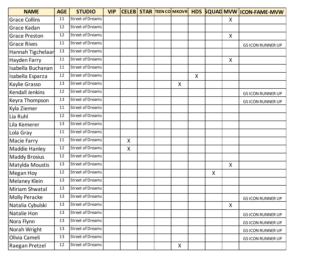| <b>NAME</b>            | <b>AGE</b> | <b>STUDIO</b>           | <b>VIP</b> |   |  |   |                           |   |              | CELEB STAR TEEN COMKOVR HDS SQUAD MVW ICON-FAME-MVW |
|------------------------|------------|-------------------------|------------|---|--|---|---------------------------|---|--------------|-----------------------------------------------------|
| <b>Grace Collins</b>   | 11         | <b>Street of Dreams</b> |            |   |  |   |                           |   | X            |                                                     |
| Grace Kadan            | 12         | <b>Street of Dreams</b> |            |   |  |   |                           |   |              |                                                     |
| <b>Grace Preston</b>   | 12         | <b>Street of Dreams</b> |            |   |  |   |                           |   | $\mathsf{X}$ |                                                     |
| <b>Grace Rives</b>     | 11         | <b>Street of Dreams</b> |            |   |  |   |                           |   |              | <b>GS ICON RUNNER UP</b>                            |
| Hannah Tigchelaar      | 13         | <b>Street of Dreams</b> |            |   |  |   |                           |   |              |                                                     |
| Hayden Farry           | 11         | <b>Street of Dreams</b> |            |   |  |   |                           |   | X            |                                                     |
| Isabella Buchanan      | 11         | <b>Street of Dreams</b> |            |   |  |   |                           |   |              |                                                     |
| Isabella Esparza       | 12         | <b>Street of Dreams</b> |            |   |  |   | $\boldsymbol{\mathsf{X}}$ |   |              |                                                     |
| Kaylie Grasso          | 13         | <b>Street of Dreams</b> |            |   |  | X |                           |   |              |                                                     |
| <b>Kendall Jenkins</b> | 12         | <b>Street of Dreams</b> |            |   |  |   |                           |   |              | <b>GS ICON RUNNER UP</b>                            |
| Keyra Thompson         | 13         | <b>Street of Dreams</b> |            |   |  |   |                           |   |              | <b>GS ICON RUNNER UP</b>                            |
| Kyla Ziemer            | 11         | <b>Street of Dreams</b> |            |   |  |   |                           |   |              |                                                     |
| Lia Ruhl               | 12         | <b>Street of Dreams</b> |            |   |  |   |                           |   |              |                                                     |
| Lila Kemerer           | 13         | <b>Street of Dreams</b> |            |   |  |   |                           |   |              |                                                     |
| Lola Gray              | 11         | <b>Street of Dreams</b> |            |   |  |   |                           |   |              |                                                     |
| Macie Farry            | 11         | <b>Street of Dreams</b> |            | X |  |   |                           |   |              |                                                     |
| <b>Maddie Hanley</b>   | 12         | <b>Street of Dreams</b> |            | X |  |   |                           |   |              |                                                     |
| <b>Maddy Brosius</b>   | 12         | <b>Street of Dreams</b> |            |   |  |   |                           |   |              |                                                     |
| Matylda Moustis        | 13         | <b>Street of Dreams</b> |            |   |  |   |                           |   | X            |                                                     |
| <b>Megan Hoy</b>       | 12         | <b>Street of Dreams</b> |            |   |  |   |                           | X |              |                                                     |
| <b>Melaney Klein</b>   | 13         | <b>Street of Dreams</b> |            |   |  |   |                           |   |              |                                                     |
| Miriam Shwatal         | 13         | <b>Street of Dreams</b> |            |   |  |   |                           |   |              |                                                     |
| <b>Molly Peracke</b>   | 13         | <b>Street of Dreams</b> |            |   |  |   |                           |   |              | <b>GS ICON RUNNER UP</b>                            |
| Natalia Cybulski       | 13         | <b>Street of Dreams</b> |            |   |  |   |                           |   | X            |                                                     |
| Natalie Hon            | 13         | <b>Street of Dreams</b> |            |   |  |   |                           |   |              | <b>GS ICON RUNNER UP</b>                            |
| Nora Flynn             | 13         | <b>Street of Dreams</b> |            |   |  |   |                           |   |              | <b>GS ICON RUNNER UP</b>                            |
| Norah Wright           | 13         | <b>Street of Dreams</b> |            |   |  |   |                           |   |              | <b>GS ICON RUNNER UP</b>                            |
| Olivia Cameli          | 13         | <b>Street of Dreams</b> |            |   |  |   |                           |   |              | <b>GS ICON RUNNER UP</b>                            |
| Raegan Pretzel         | 12         | <b>Street of Dreams</b> |            |   |  | X |                           |   |              |                                                     |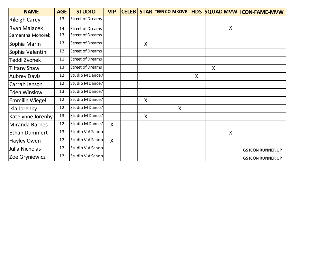| <b>NAME</b>           | <b>AGE</b> | <b>STUDIO</b>           | <b>VIP</b>   |         | <b>CELEB STAR TEEN COMKOVR</b> |                           |   |                           | HDS SQUAD MVW ICON-FAME-MVW |
|-----------------------|------------|-------------------------|--------------|---------|--------------------------------|---------------------------|---|---------------------------|-----------------------------|
| <b>Rileigh Carey</b>  | 13         | <b>Street of Dreams</b> |              |         |                                |                           |   |                           |                             |
| <b>Ryan Malacek</b>   | 14         | <b>Street of Dreams</b> |              |         |                                |                           |   | $\boldsymbol{\mathsf{X}}$ |                             |
| Samantha Mohorek      | 13         | <b>Street of Dreams</b> |              |         |                                |                           |   |                           |                             |
| Sophia Marin          | 13         | <b>Street of Dreams</b> |              | X       |                                |                           |   |                           |                             |
| Sophia Valentini      | 12         | <b>Street of Dreams</b> |              |         |                                |                           |   |                           |                             |
| Teddi Zvonek          | 11         | <b>Street of Dreams</b> |              |         |                                |                           |   |                           |                             |
| <b>Tiffany Shaw</b>   | 13         | <b>Street of Dreams</b> |              |         |                                |                           | X |                           |                             |
| <b>Aubrey Davis</b>   | 12         | Studio M Dance A        |              |         |                                | $\boldsymbol{\mathsf{X}}$ |   |                           |                             |
| Carrah Jenson         | 12         | Studio M Dance A        |              |         |                                |                           |   |                           |                             |
| <b>Eden Winslow</b>   | 13         | Studio M Dance A        |              |         |                                |                           |   |                           |                             |
| <b>Emmilin Wiegel</b> | 12         | Studio M Dance A        |              | X       |                                |                           |   |                           |                             |
| Isla Jorenby          | 12         | Studio M Dance A        |              |         | X                              |                           |   |                           |                             |
| Katelynne Jorenby     | 13         | Studio M Dance A        |              | $\sf X$ |                                |                           |   |                           |                             |
| Miranda Barnes        | 12         | Studio M Dance A        | $\mathsf{X}$ |         |                                |                           |   |                           |                             |
| <b>Ethan Dummert</b>  | 13         | Studio VIA School       |              |         |                                |                           |   | $\mathsf{X}$              |                             |
| <b>Hayley Owen</b>    | 12         | Studio VIA School       | X            |         |                                |                           |   |                           |                             |
| Julia Nicholas        | 12         | Studio VIA School       |              |         |                                |                           |   |                           | <b>GS ICON RUNNER UP</b>    |
| Zoe Gryniewicz        | 12         | Studio VIA Schoo        |              |         |                                |                           |   |                           | <b>GS ICON RUNNER UP</b>    |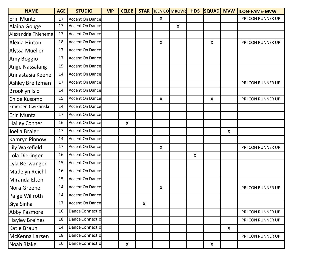| <b>NAME</b>           | <b>AGE</b> | <b>STUDIO</b>          | <b>VIP</b> | <b>CELEB</b> |                    |         | <b>STAR TEEN COMKOVR</b> | <b>HDS</b> | <b>SQUAD MVW</b> |   | <b>ICON-FAME-MVW</b> |
|-----------------------|------------|------------------------|------------|--------------|--------------------|---------|--------------------------|------------|------------------|---|----------------------|
| Erin Muntz            | 17         | <b>Accent On Dance</b> |            |              |                    | X       |                          |            |                  |   | PR ICON RUNNER UP    |
| Alaina Gouge          | 17         | Accent On Dance        |            |              |                    |         | X                        |            |                  |   |                      |
| Alexandria Thienemar  | 17         | <b>Accent On Dance</b> |            |              |                    |         |                          |            |                  |   |                      |
| Alexia Hinton         | 18         | <b>Accent On Dance</b> |            |              |                    | X       |                          |            | X                |   | PR ICON RUNNER UP    |
| Alyssa Mueller        | 17         | Accent On Dance        |            |              |                    |         |                          |            |                  |   |                      |
| Amy Boggio            | 17         | Accent On Dance        |            |              |                    |         |                          |            |                  |   |                      |
| Ange Nassalang        | 15         | Accent On Dance        |            |              |                    |         |                          |            |                  |   |                      |
| Annastasia Keene      | 14         | <b>Accent On Dance</b> |            |              |                    |         |                          |            |                  |   |                      |
| Ashley Breitzman      | 17         | <b>Accent On Dance</b> |            |              |                    |         |                          |            |                  |   | PR ICON RUNNER UP    |
| Brooklyn Islo         | 14         | <b>Accent On Dance</b> |            |              |                    |         |                          |            |                  |   |                      |
| Chloe Kusomo          | 15         | Accent On Dance        |            |              |                    | X       |                          |            | X                |   | PR ICON RUNNER UP    |
| Emersen Cwiklinski    | 14         | Accent On Dance        |            |              |                    |         |                          |            |                  |   |                      |
| <b>Erin Muntz</b>     | 17         | <b>Accent On Dance</b> |            |              |                    |         |                          |            |                  |   |                      |
| <b>Hailey Conner</b>  | 16         | <b>Accent On Dance</b> |            | X            |                    |         |                          |            |                  |   |                      |
| Joella Braier         | 17         | <b>Accent On Dance</b> |            |              |                    |         |                          |            |                  | X |                      |
| Kamryn Pinnow         | 14         | <b>Accent On Dance</b> |            |              |                    |         |                          |            |                  |   |                      |
| Lily Wakefield        | 17         | Accent On Dance        |            |              |                    | $\sf X$ |                          |            |                  |   | PR ICON RUNNER UP    |
| Lola Dieringer        | 16         | Accent On Dance        |            |              |                    |         |                          | X          |                  |   |                      |
| Lyla Berwanger        | 15         | Accent On Dance        |            |              |                    |         |                          |            |                  |   |                      |
| <b>Madelyn Reichl</b> | 16         | Accent On Dance        |            |              |                    |         |                          |            |                  |   |                      |
| Miranda Elton         | 15         | <b>Accent On Dance</b> |            |              |                    |         |                          |            |                  |   |                      |
| Nora Greene           | 14         | <b>Accent On Dance</b> |            |              |                    | X       |                          |            |                  |   | PR ICON RUNNER UP    |
| Paige Willroth        | 14         | <b>Accent On Dance</b> |            |              |                    |         |                          |            |                  |   |                      |
| Siya Sinha            | 17         | <b>Accent On Dance</b> |            |              | $\pmb{\mathsf{X}}$ |         |                          |            |                  |   |                      |
| <b>Abby Pasmore</b>   | 16         | Dance Connectio        |            |              |                    |         |                          |            |                  |   | PR ICON RUNNER UP    |
| Hayley Breines        | 18         | Dance Connectio        |            |              |                    |         |                          |            |                  |   | PR ICON RUNNER UP    |
| Katie Braun           | 14         | Dance Connectio        |            |              |                    |         |                          |            |                  | X |                      |
| McKenna Larsen        | 18         | Dance Connectio        |            |              |                    |         |                          |            |                  |   | PR ICON RUNNER UP    |
| Noah Blake            | 16         | Dance Connectio        |            | X            |                    |         |                          |            | X                |   |                      |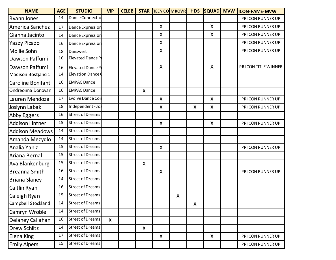| <b>NAME</b>               | <b>AGE</b> | <b>STUDIO</b>            | <b>VIP</b>   | <b>CELEB</b> |                           |                    | <b>STAR TEEN COMKOVR</b>  | <b>HDS</b> | <b>SQUAD MVW</b> | <b>ICON-FAME-MVW</b> |
|---------------------------|------------|--------------------------|--------------|--------------|---------------------------|--------------------|---------------------------|------------|------------------|----------------------|
| <b>Ryann Jones</b>        | 14         | Dance Connectio          |              |              |                           |                    |                           |            |                  | PR ICON RUNNER UP    |
| America Sanchez           | 17         | Dance Expression         |              |              |                           | $\sf X$            |                           |            | X                | PR ICON RUNNER UP    |
| Gianna Jacinto            | 14         | Dance Expression         |              |              |                           | $\sf X$            |                           |            | X                | PRICON RUNNER UP     |
| Yazzy Picazo              | 16         | Dance Expression         |              |              |                           | X                  |                           |            |                  | PR ICON RUNNER UP    |
| Mollie Sohn               | 18         | Danswest                 |              |              |                           | $\sf X$            |                           |            |                  | PR ICON RUNNER UP    |
| Dawson Paffumi            | 16         | Elevated Dance P         |              |              |                           |                    |                           |            |                  |                      |
| Dawson Paffumi            | 16         | Elevated Dance P         |              |              |                           | $\pmb{\mathsf{X}}$ |                           |            | X                | PRICON TITLE WINNER  |
| <b>Madison Bostjancic</b> | 14         | <b>Elevation Dance (</b> |              |              |                           |                    |                           |            |                  |                      |
| Caroline Bonifant         | 16         | <b>EMPAC Dance</b>       |              |              |                           |                    |                           |            |                  |                      |
| Ondreonna Donovan         | 16         | <b>EMPAC Dance</b>       |              |              | X                         |                    |                           |            |                  |                      |
| Lauren Mendoza            | 17         | <b>Evolve Dance Con</b>  |              |              |                           | $\sf X$            |                           |            | X                | PR ICON RUNNER UP    |
| Joslynn Labak             | 18         | Independent - Jos        |              |              |                           | $\sf X$            |                           | X          | $\sf X$          | PR ICON RUNNER UP    |
| Abby Eggers               | 16         | <b>Street of Dreams</b>  |              |              |                           |                    |                           |            |                  |                      |
| <b>Addison Lintner</b>    | 15         | <b>Street of Dreams</b>  |              |              |                           | X                  |                           |            | X                | PR ICON RUNNER UP    |
| <b>Addison Meadows</b>    | 14         | <b>Street of Dreams</b>  |              |              |                           |                    |                           |            |                  |                      |
| Amanda Mezydlo            | 14         | <b>Street of Dreams</b>  |              |              |                           |                    |                           |            |                  |                      |
| Analia Yaniz              | 15         | <b>Street of Dreams</b>  |              |              |                           | X                  |                           |            |                  | PR ICON RUNNER UP    |
| Ariana Bernal             | 15         | <b>Street of Dreams</b>  |              |              |                           |                    |                           |            |                  |                      |
| Ava Blankenburg           | 15         | <b>Street of Dreams</b>  |              |              | $\boldsymbol{\mathsf{X}}$ |                    |                           |            |                  |                      |
| <b>Breanna Smith</b>      | 16         | <b>Street of Dreams</b>  |              |              |                           | X                  |                           |            |                  | PR ICON RUNNER UP    |
| <b>Briana Slaney</b>      | 14         | <b>Street of Dreams</b>  |              |              |                           |                    |                           |            |                  |                      |
| Caitlin Ryan              | 16         | <b>Street of Dreams</b>  |              |              |                           |                    |                           |            |                  |                      |
| Caleigh Ryan              | 15         | <b>Street of Dreams</b>  |              |              |                           |                    | $\boldsymbol{\mathsf{X}}$ |            |                  |                      |
| <b>Campbell Stockland</b> | 14         | <b>Street of Dreams</b>  |              |              |                           |                    |                           | X          |                  |                      |
| Camryn Wroble             | 14         | <b>Street of Dreams</b>  |              |              |                           |                    |                           |            |                  |                      |
| Delaney Callahan          | 16         | <b>Street of Dreams</b>  | $\mathsf{X}$ |              |                           |                    |                           |            |                  |                      |
| Drew Schiltz              | 14         | <b>Street of Dreams</b>  |              |              | X                         |                    |                           |            |                  |                      |
| Elena King                | 17         | <b>Street of Dreams</b>  |              |              |                           | $\mathsf{X}$       |                           |            | X                | PR ICON RUNNER UP    |
| <b>Emily Alpers</b>       | 15         | <b>Street of Dreams</b>  |              |              |                           |                    |                           |            |                  | PR ICON RUNNER UP    |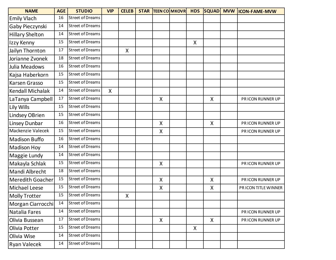| <b>NAME</b>             | <b>AGE</b> | <b>STUDIO</b>           | <b>VIP</b>   | <b>CELEB</b> |                    | <b>STAR TEEN COMKOVR</b> | <b>HDS</b> |         | SQUAD MVW ICON-FAME-MVW |
|-------------------------|------------|-------------------------|--------------|--------------|--------------------|--------------------------|------------|---------|-------------------------|
| <b>Emily Vlach</b>      | 16         | <b>Street of Dreams</b> |              |              |                    |                          |            |         |                         |
| Gaby Pieczynski         | 14         | <b>Street of Dreams</b> |              |              |                    |                          |            |         |                         |
| <b>Hillary Shelton</b>  | 14         | <b>Street of Dreams</b> |              |              |                    |                          |            |         |                         |
| Izzy Kenny              | 15         | <b>Street of Dreams</b> |              |              |                    |                          | X          |         |                         |
| Jailyn Thornton         | 17         | <b>Street of Dreams</b> |              | X            |                    |                          |            |         |                         |
| Jorianne Zvonek         | 18         | <b>Street of Dreams</b> |              |              |                    |                          |            |         |                         |
| Julia Meadows           | 16         | <b>Street of Dreams</b> |              |              |                    |                          |            |         |                         |
| Kajsa Haberkorn         | 15         | <b>Street of Dreams</b> |              |              |                    |                          |            |         |                         |
| <b>Karsen Grasso</b>    | 15         | <b>Street of Dreams</b> |              |              |                    |                          |            |         |                         |
| <b>Kendall Michalak</b> | 14         | <b>Street of Dreams</b> | $\mathsf{X}$ |              |                    |                          |            |         |                         |
| LaTanya Campbell        | 17         | <b>Street of Dreams</b> |              |              | X                  |                          |            | $\sf X$ | PRICON RUNNER UP        |
| Lily Wills              | 15         | <b>Street of Dreams</b> |              |              |                    |                          |            |         |                         |
| <b>Lindsey OBrien</b>   | 15         | <b>Street of Dreams</b> |              |              |                    |                          |            |         |                         |
| Linsey Dunbar           | 16         | <b>Street of Dreams</b> |              |              | $\sf X$            |                          |            | X       | PR ICON RUNNER UP       |
| Mackenzie Valecek       | 15         | <b>Street of Dreams</b> |              |              | X                  |                          |            |         | PR ICON RUNNER UP       |
| <b>Madison Buffo</b>    | 16         | <b>Street of Dreams</b> |              |              |                    |                          |            |         |                         |
| <b>Madison Hoy</b>      | 14         | <b>Street of Dreams</b> |              |              |                    |                          |            |         |                         |
| Maggie Lundy            | 14         | <b>Street of Dreams</b> |              |              |                    |                          |            |         |                         |
| Makayla Schlak          | 15         | <b>Street of Dreams</b> |              |              | $\pmb{\mathsf{X}}$ |                          |            |         | PR ICON RUNNER UP       |
| Mandi Albrecht          | 18         | <b>Street of Dreams</b> |              |              |                    |                          |            |         |                         |
| <b>Meredith Goacher</b> | 15         | <b>Street of Dreams</b> |              |              | X                  |                          |            | X       | PR ICON RUNNER UP       |
| <b>Michael Leese</b>    | 15         | <b>Street of Dreams</b> |              |              | X                  |                          |            | X       | PRICON TITLE WINNER     |
| <b>Molly Trotter</b>    | 15         | <b>Street of Dreams</b> |              | X            |                    |                          |            |         |                         |
| Morgan Ciarrocchi       | 14         | <b>Street of Dreams</b> |              |              |                    |                          |            |         |                         |
| Natalia Fares           | 14         | <b>Street of Dreams</b> |              |              |                    |                          |            |         | PR ICON RUNNER UP       |
| Olivia Bussean          | 17         | <b>Street of Dreams</b> |              |              | X                  |                          |            | X       | PR ICON RUNNER UP       |
| Olivia Potter           | 15         | Street of Dreams        |              |              |                    |                          | X          |         |                         |
| Olivia Wise             | 14         | <b>Street of Dreams</b> |              |              |                    |                          |            |         |                         |
| <b>Ryan Valecek</b>     | 14         | <b>Street of Dreams</b> |              |              |                    |                          |            |         |                         |